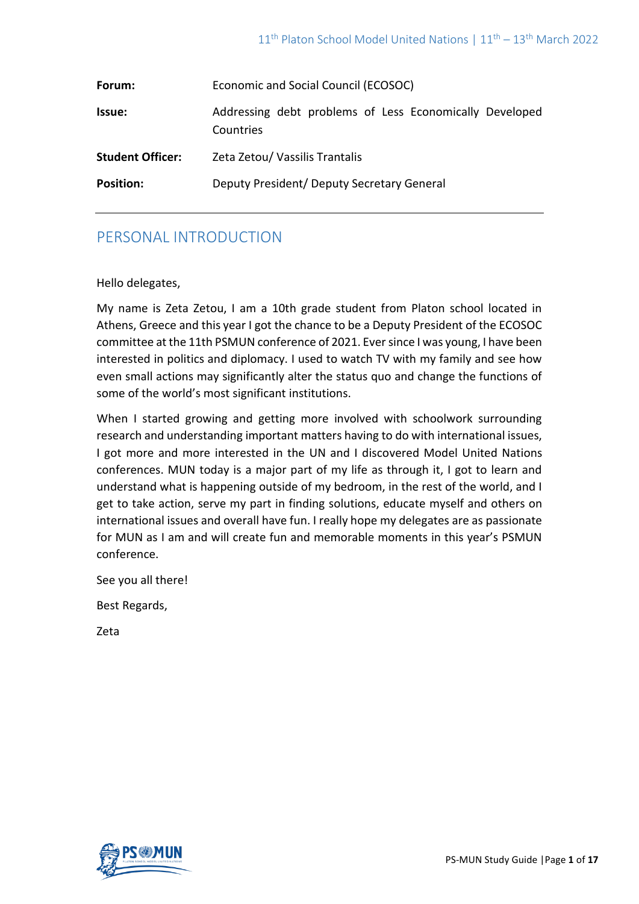| Forum:                  | Economic and Social Council (ECOSOC)                                 |
|-------------------------|----------------------------------------------------------------------|
| <b>Issue:</b>           | Addressing debt problems of Less Economically Developed<br>Countries |
| <b>Student Officer:</b> | Zeta Zetou/ Vassilis Trantalis                                       |
| <b>Position:</b>        | Deputy President/Deputy Secretary General                            |

# PERSONAL INTRODUCTION

## Hello delegates,

My name is Zeta Zetou, I am a 10th grade student from Platon school located in Athens, Greece and this year I got the chance to be a Deputy President of the ECOSOC committee at the 11th PSMUN conference of 2021. Ever since I was young, I have been interested in politics and diplomacy. I used to watch TV with my family and see how even small actions may significantly alter the status quo and change the functions of some of the world's most significant institutions.

When I started growing and getting more involved with schoolwork surrounding research and understanding important matters having to do with international issues, I got more and more interested in the UN and I discovered Model United Nations conferences. MUN today is a major part of my life as through it, I got to learn and understand what is happening outside of my bedroom, in the rest of the world, and I get to take action, serve my part in finding solutions, educate myself and others on international issues and overall have fun. I really hope my delegates are as passionate for MUN as I am and will create fun and memorable moments in this year's PSMUN conference.

See you all there!

Best Regards,

Zeta

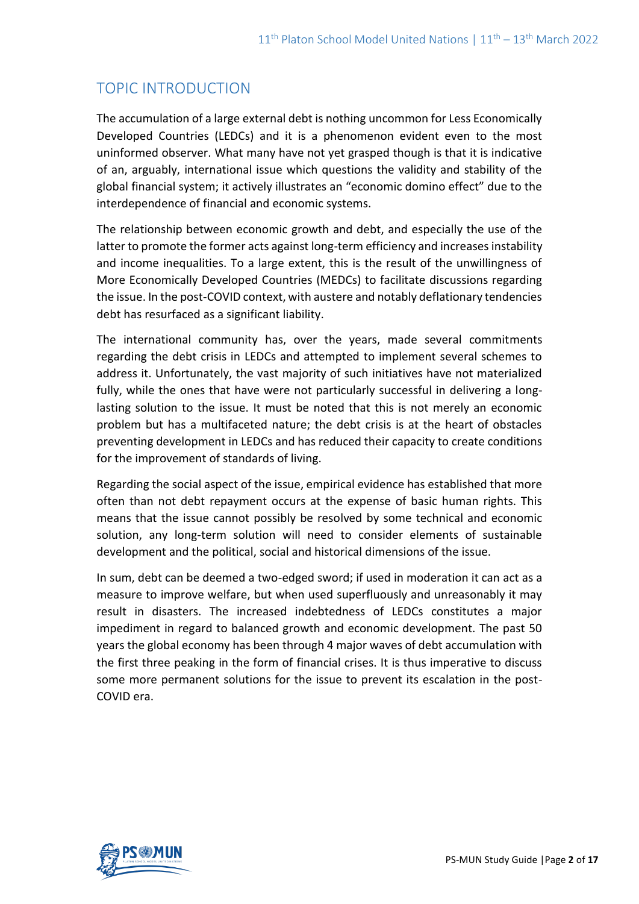# TOPIC INTRODUCTION

The accumulation of a large external debt is nothing uncommon for Less Economically Developed Countries (LEDCs) and it is a phenomenon evident even to the most uninformed observer. What many have not yet grasped though is that it is indicative of an, arguably, international issue which questions the validity and stability of the global financial system; it actively illustrates an "economic domino effect" due to the interdependence of financial and economic systems.

The relationship between economic growth and debt, and especially the use of the latter to promote the former acts against long-term efficiency and increases instability and income inequalities. To a large extent, this is the result of the unwillingness of More Economically Developed Countries (MEDCs) to facilitate discussions regarding the issue. In the post-COVID context, with austere and notably deflationary tendencies debt has resurfaced as a significant liability.

The international community has, over the years, made several commitments regarding the debt crisis in LEDCs and attempted to implement several schemes to address it. Unfortunately, the vast majority of such initiatives have not materialized fully, while the ones that have were not particularly successful in delivering a longlasting solution to the issue. It must be noted that this is not merely an economic problem but has a multifaceted nature; the debt crisis is at the heart of obstacles preventing development in LEDCs and has reduced their capacity to create conditions for the improvement of standards of living.

Regarding the social aspect of the issue, empirical evidence has established that more often than not debt repayment occurs at the expense of basic human rights. This means that the issue cannot possibly be resolved by some technical and economic solution, any long-term solution will need to consider elements of sustainable development and the political, social and historical dimensions of the issue.

In sum, debt can be deemed a two-edged sword; if used in moderation it can act as a measure to improve welfare, but when used superfluously and unreasonably it may result in disasters. The increased indebtedness of LEDCs constitutes a major impediment in regard to balanced growth and economic development. The past 50 years the global economy has been through 4 major waves of debt accumulation with the first three peaking in the form of financial crises. It is thus imperative to discuss some more permanent solutions for the issue to prevent its escalation in the post-COVID era.

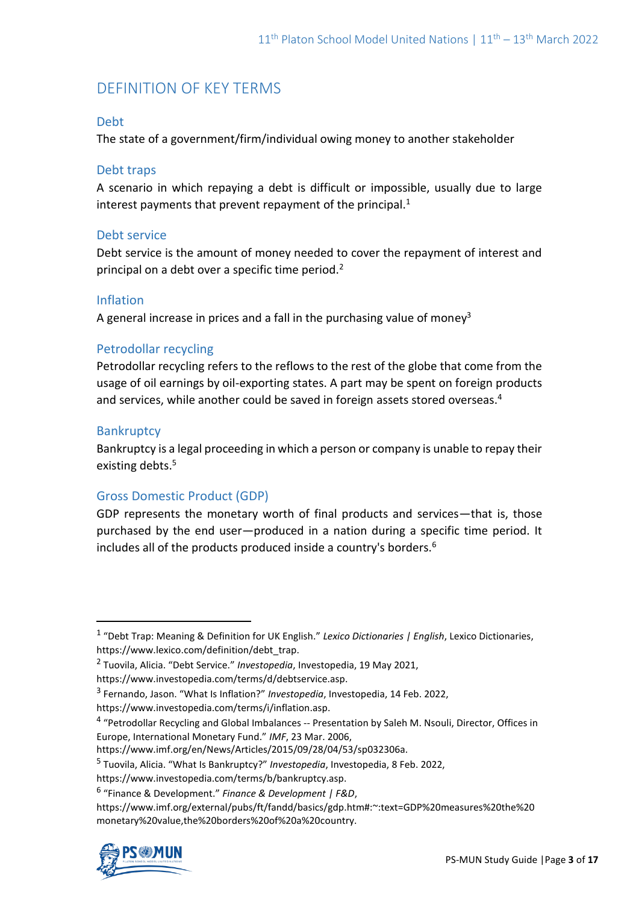# DEFINITION OF KEY TERMS

## Debt

The state of a government/firm/individual owing money to another stakeholder

## Debt traps

A scenario in which repaying a debt is difficult or impossible, usually due to large interest payments that prevent repayment of the principal. $1$ 

## Debt service

Debt service is the amount of money needed to cover the repayment of interest and principal on a debt over a specific time period.<sup>2</sup>

## Inflation

A general increase in prices and a fall in the purchasing value of money<sup>3</sup>

# Petrodollar recycling

Petrodollar recycling refers to the reflows to the rest of the globe that come from the usage of oil earnings by oil-exporting states. A part may be spent on foreign products and services, while another could be saved in foreign assets stored overseas.<sup>4</sup>

# **Bankruptcy**

Bankruptcy is a legal proceeding in which a person or company is unable to repay their existing debts.<sup>5</sup>

# Gross Domestic Product (GDP)

GDP represents the monetary worth of final products and services—that is, those purchased by the end user—produced in a nation during a specific time period. It includes all of the products produced inside a country's borders.<sup>6</sup>

https://www.investopedia.com/terms/i/inflation.asp.

https://www.imf.org/en/News/Articles/2015/09/28/04/53/sp032306a.

https://www.imf.org/external/pubs/ft/fandd/basics/gdp.htm#:~:text=GDP%20measures%20the%20 monetary%20value,the%20borders%20of%20a%20country.



<sup>1</sup> "Debt Trap: Meaning & Definition for UK English." *Lexico Dictionaries | English*, Lexico Dictionaries, https://www.lexico.com/definition/debt\_trap.

<sup>2</sup> Tuovila, Alicia. "Debt Service." *Investopedia*, Investopedia, 19 May 2021,

https://www.investopedia.com/terms/d/debtservice.asp.

<sup>3</sup> Fernando, Jason. "What Is Inflation?" *Investopedia*, Investopedia, 14 Feb. 2022,

<sup>&</sup>lt;sup>4</sup> "Petrodollar Recycling and Global Imbalances -- Presentation by Saleh M. Nsouli, Director, Offices in Europe, International Monetary Fund." *IMF*, 23 Mar. 2006,

<sup>5</sup> Tuovila, Alicia. "What Is Bankruptcy?" *Investopedia*, Investopedia, 8 Feb. 2022,

https://www.investopedia.com/terms/b/bankruptcy.asp.

<sup>6</sup> "Finance & Development." *Finance & Development | F&D*,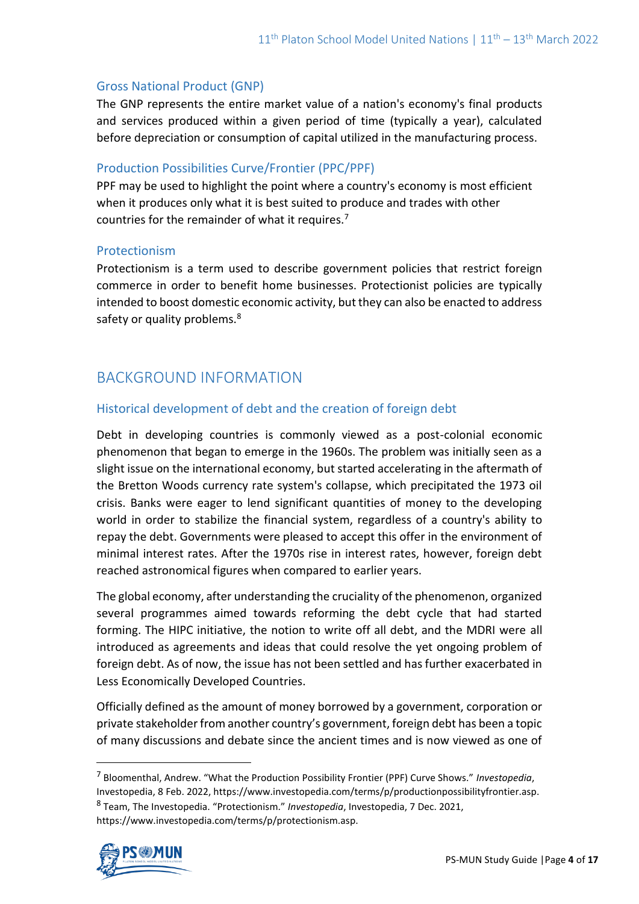### Gross National Product (GNP)

The GNP represents the entire market value of a nation's economy's final products and services produced within a given period of time (typically a year), calculated before depreciation or consumption of capital utilized in the manufacturing process.

## Production Possibilities Curve/Frontier (PPC/PPF)

PPF may be used to highlight the point where a country's economy is most efficient when it produces only what it is best suited to produce and trades with other countries for the remainder of what it requires.<sup>7</sup>

#### Protectionism

Protectionism is a term used to describe government policies that restrict foreign commerce in order to benefit home businesses. Protectionist policies are typically intended to boost domestic economic activity, but they can also be enacted to address safety or quality problems.<sup>8</sup>

# BACKGROUND INFORMATION

## Historical development of debt and the creation of foreign debt

Debt in developing countries is commonly viewed as a post-colonial economic phenomenon that began to emerge in the 1960s. The problem was initially seen as a slight issue on the international economy, but started accelerating in the aftermath of the Bretton Woods currency rate system's collapse, which precipitated the 1973 oil crisis. Banks were eager to lend significant quantities of money to the developing world in order to stabilize the financial system, regardless of a country's ability to repay the debt. Governments were pleased to accept this offer in the environment of minimal interest rates. After the 1970s rise in interest rates, however, foreign debt reached astronomical figures when compared to earlier years.

The global economy, after understanding the cruciality of the phenomenon, organized several programmes aimed towards reforming the debt cycle that had started forming. The HIPC initiative, the notion to write off all debt, and the MDRI were all introduced as agreements and ideas that could resolve the yet ongoing problem of foreign debt. As of now, the issue has not been settled and has further exacerbated in Less Economically Developed Countries.

Officially defined as the amount of money borrowed by a government, corporation or private stakeholder from another country's government, foreign debt has been a topic of many discussions and debate since the ancient times and is now viewed as one of

<sup>7</sup> Bloomenthal, Andrew. "What the Production Possibility Frontier (PPF) Curve Shows." *Investopedia*, Investopedia, 8 Feb. 2022, https://www.investopedia.com/terms/p/productionpossibilityfrontier.asp. 8 Team, The Investopedia. "Protectionism." *Investopedia*, Investopedia, 7 Dec. 2021, https://www.investopedia.com/terms/p/protectionism.asp.

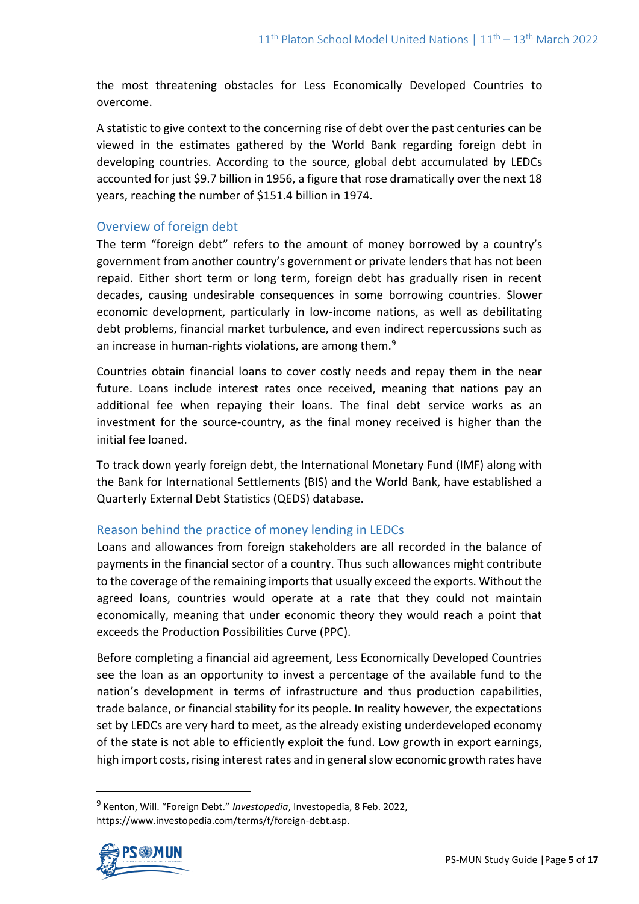the most threatening obstacles for Less Economically Developed Countries to overcome.

A statistic to give context to the concerning rise of debt over the past centuries can be viewed in the estimates gathered by the World Bank regarding foreign debt in developing countries. According to the source, global debt accumulated by LEDCs accounted for just \$9.7 billion in 1956, a figure that rose dramatically over the next 18 years, reaching the number of \$151.4 billion in 1974.

## Overview of foreign debt

The term "foreign debt" refers to the amount of money borrowed by a country's government from another country's government or private lenders that has not been repaid. Either short term or long term, foreign debt has gradually risen in recent decades, causing undesirable consequences in some borrowing countries. Slower economic development, particularly in low-income nations, as well as debilitating debt problems, financial market turbulence, and even indirect repercussions such as an increase in human-rights violations, are among them. $9$ 

Countries obtain financial loans to cover costly needs and repay them in the near future. Loans include interest rates once received, meaning that nations pay an additional fee when repaying their loans. The final debt service works as an investment for the source-country, as the final money received is higher than the initial fee loaned.

To track down yearly foreign debt, the International Monetary Fund (IMF) along with the Bank for International Settlements (BIS) and the World Bank, have established a Quarterly External Debt Statistics (QEDS) database.

# Reason behind the practice of money lending in LEDCs

Loans and allowances from foreign stakeholders are all recorded in the balance of payments in the financial sector of a country. Thus such allowances might contribute to the coverage of the remaining imports that usually exceed the exports. Without the agreed loans, countries would operate at a rate that they could not maintain economically, meaning that under economic theory they would reach a point that exceeds the Production Possibilities Curve (PPC).

Before completing a financial aid agreement, Less Economically Developed Countries see the loan as an opportunity to invest a percentage of the available fund to the nation's development in terms of infrastructure and thus production capabilities, trade balance, or financial stability for its people. In reality however, the expectations set by LEDCs are very hard to meet, as the already existing underdeveloped economy of the state is not able to efficiently exploit the fund. Low growth in export earnings, high import costs, rising interest rates and in general slow economic growth rates have

<sup>9</sup> Kenton, Will. "Foreign Debt." *Investopedia*, Investopedia, 8 Feb. 2022, https://www.investopedia.com/terms/f/foreign-debt.asp.

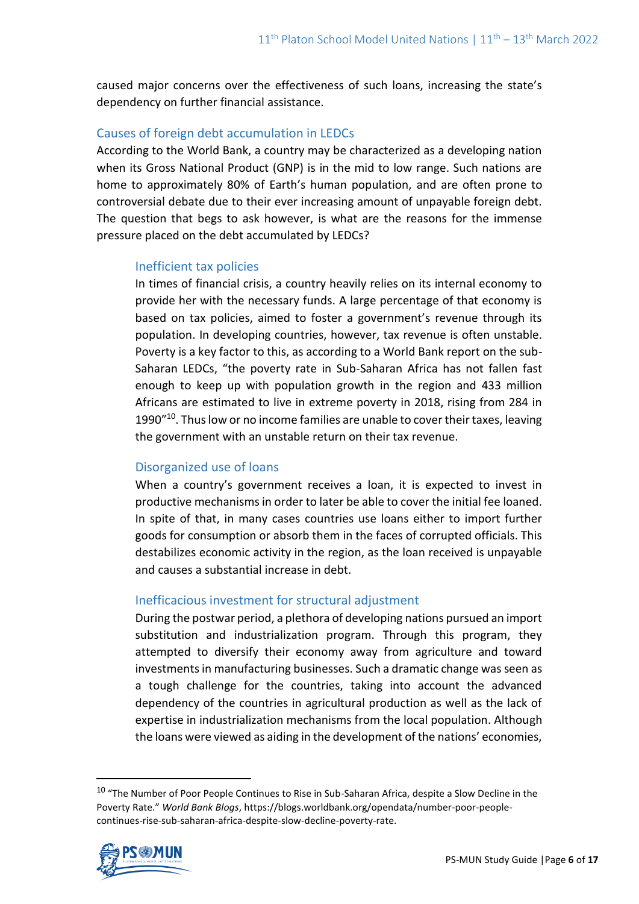caused major concerns over the effectiveness of such loans, increasing the state's dependency on further financial assistance.

# Causes of foreign debt accumulation in LEDCs

According to the World Bank, a country may be characterized as a developing nation when its Gross National Product (GNP) is in the mid to low range. Such nations are home to approximately 80% of Earth's human population, and are often prone to controversial debate due to their ever increasing amount of unpayable foreign debt. The question that begs to ask however, is what are the reasons for the immense pressure placed on the debt accumulated by LEDCs?

## Inefficient tax policies

In times of financial crisis, a country heavily relies on its internal economy to provide her with the necessary funds. A large percentage of that economy is based on tax policies, aimed to foster a government's revenue through its population. In developing countries, however, tax revenue is often unstable. Poverty is a key factor to this, as according to a World Bank report on the sub-Saharan LEDCs, "the poverty rate in Sub-Saharan Africa has not fallen fast enough to keep up with population growth in the region and 433 million Africans are estimated to live in extreme poverty in 2018, rising from 284 in 1990"<sup>10</sup>. Thus low or no income families are unable to cover their taxes, leaving the government with an unstable return on their tax revenue.

# Disorganized use of loans

When a country's government receives a loan, it is expected to invest in productive mechanisms in order to later be able to cover the initial fee loaned. In spite of that, in many cases countries use loans either to import further goods for consumption or absorb them in the faces of corrupted officials. This destabilizes economic activity in the region, as the loan received is unpayable and causes a substantial increase in debt.

# Inefficacious investment for structural adjustment

During the postwar period, a plethora of developing nations pursued an import substitution and industrialization program. Through this program, they attempted to diversify their economy away from agriculture and toward investments in manufacturing businesses. Such a dramatic change was seen as a tough challenge for the countries, taking into account the advanced dependency of the countries in agricultural production as well as the lack of expertise in industrialization mechanisms from the local population. Although the loans were viewed as aiding in the development of the nations' economies,

<sup>&</sup>lt;sup>10</sup> "The Number of Poor People Continues to Rise in Sub-Saharan Africa, despite a Slow Decline in the Poverty Rate." *World Bank Blogs*, https://blogs.worldbank.org/opendata/number-poor-peoplecontinues-rise-sub-saharan-africa-despite-slow-decline-poverty-rate.

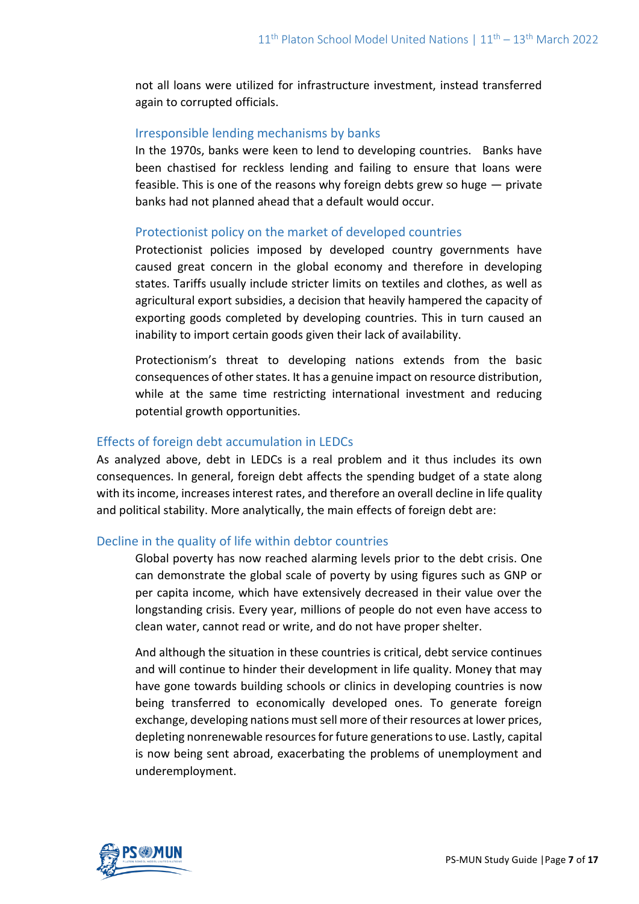not all loans were utilized for infrastructure investment, instead transferred again to corrupted officials.

## Irresponsible lending mechanisms by banks

In the 1970s, banks were keen to lend to developing countries. Banks have been chastised for reckless lending and failing to ensure that loans were feasible. This is one of the reasons why foreign debts grew so huge — private banks had not planned ahead that a default would occur.

## Protectionist policy on the market of developed countries

Protectionist policies imposed by developed country governments have caused great concern in the global economy and therefore in developing states. Tariffs usually include stricter limits on textiles and clothes, as well as agricultural export subsidies, a decision that heavily hampered the capacity of exporting goods completed by developing countries. This in turn caused an inability to import certain goods given their lack of availability.

Protectionism's threat to developing nations extends from the basic consequences of other states. It has a genuine impact on resource distribution, while at the same time restricting international investment and reducing potential growth opportunities.

# Effects of foreign debt accumulation in LEDCs

As analyzed above, debt in LEDCs is a real problem and it thus includes its own consequences. In general, foreign debt affects the spending budget of a state along with its income, increases interest rates, and therefore an overall decline in life quality and political stability. More analytically, the main effects of foreign debt are:

# Decline in the quality of life within debtor countries

Global poverty has now reached alarming levels prior to the debt crisis. One can demonstrate the global scale of poverty by using figures such as GNP or per capita income, which have extensively decreased in their value over the longstanding crisis. Every year, millions of people do not even have access to clean water, cannot read or write, and do not have proper shelter.

And although the situation in these countries is critical, debt service continues and will continue to hinder their development in life quality. Money that may have gone towards building schools or clinics in developing countries is now being transferred to economically developed ones. To generate foreign exchange, developing nations must sell more of their resources at lower prices, depleting nonrenewable resources for future generations to use. Lastly, capital is now being sent abroad, exacerbating the problems of unemployment and underemployment.

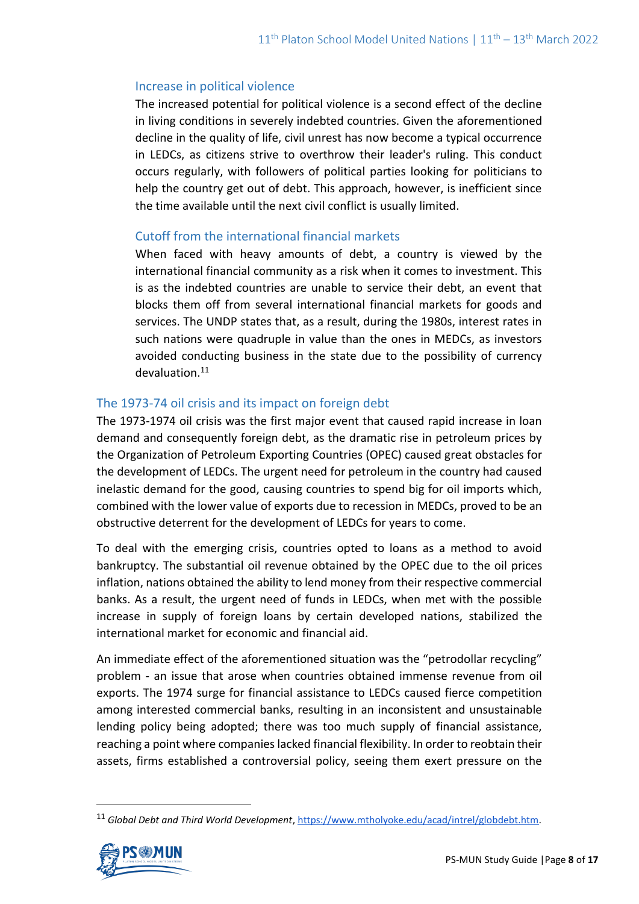### Increase in political violence

The increased potential for political violence is a second effect of the decline in living conditions in severely indebted countries. Given the aforementioned decline in the quality of life, civil unrest has now become a typical occurrence in LEDCs, as citizens strive to overthrow their leader's ruling. This conduct occurs regularly, with followers of political parties looking for politicians to help the country get out of debt. This approach, however, is inefficient since the time available until the next civil conflict is usually limited.

## Cutoff from the international financial markets

When faced with heavy amounts of debt, a country is viewed by the international financial community as a risk when it comes to investment. This is as the indebted countries are unable to service their debt, an event that blocks them off from several international financial markets for goods and services. The UNDP states that, as a result, during the 1980s, interest rates in such nations were quadruple in value than the ones in MEDCs, as investors avoided conducting business in the state due to the possibility of currency devaluation.<sup>11</sup>

# The 1973-74 oil crisis and its impact on foreign debt

The 1973-1974 oil crisis was the first major event that caused rapid increase in loan demand and consequently foreign debt, as the dramatic rise in petroleum prices by the Organization of Petroleum Exporting Countries (OPEC) caused great obstacles for the development of LEDCs. The urgent need for petroleum in the country had caused inelastic demand for the good, causing countries to spend big for oil imports which, combined with the lower value of exports due to recession in MEDCs, proved to be an obstructive deterrent for the development of LEDCs for years to come.

To deal with the emerging crisis, countries opted to loans as a method to avoid bankruptcy. The substantial oil revenue obtained by the OPEC due to the oil prices inflation, nations obtained the ability to lend money from their respective commercial banks. As a result, the urgent need of funds in LEDCs, when met with the possible increase in supply of foreign loans by certain developed nations, stabilized the international market for economic and financial aid.

An immediate effect of the aforementioned situation was the "petrodollar recycling" problem - an issue that arose when countries obtained immense revenue from oil exports. The 1974 surge for financial assistance to LEDCs caused fierce competition among interested commercial banks, resulting in an inconsistent and unsustainable lending policy being adopted; there was too much supply of financial assistance, reaching a point where companies lacked financial flexibility. In order to reobtain their assets, firms established a controversial policy, seeing them exert pressure on the

<sup>11</sup> *Global Debt and Third World Development*[, https://www.mtholyoke.edu/acad/intrel/globdebt.htm.](https://www.mtholyoke.edu/acad/intrel/globdebt.htm)

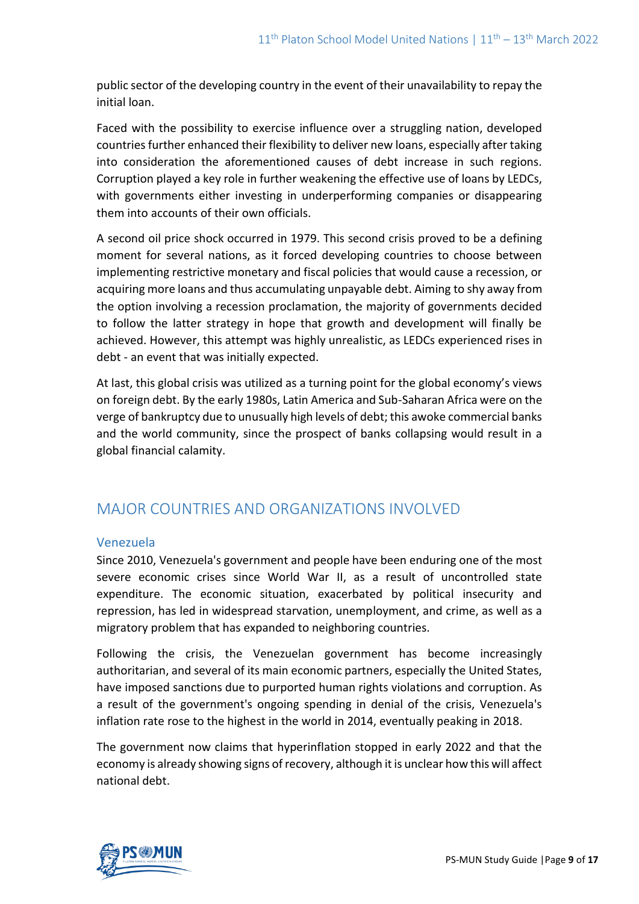public sector of the developing country in the event of their unavailability to repay the initial loan.

Faced with the possibility to exercise influence over a struggling nation, developed countries further enhanced their flexibility to deliver new loans, especially after taking into consideration the aforementioned causes of debt increase in such regions. Corruption played a key role in further weakening the effective use of loans by LEDCs, with governments either investing in underperforming companies or disappearing them into accounts of their own officials.

A second oil price shock occurred in 1979. This second crisis proved to be a defining moment for several nations, as it forced developing countries to choose between implementing restrictive monetary and fiscal policies that would cause a recession, or acquiring more loans and thus accumulating unpayable debt. Aiming to shy away from the option involving a recession proclamation, the majority of governments decided to follow the latter strategy in hope that growth and development will finally be achieved. However, this attempt was highly unrealistic, as LEDCs experienced rises in debt - an event that was initially expected.

At last, this global crisis was utilized as a turning point for the global economy's views on foreign debt. By the early 1980s, Latin America and Sub-Saharan Africa were on the verge of bankruptcy due to unusually high levels of debt; this awoke commercial banks and the world community, since the prospect of banks collapsing would result in a global financial calamity.

# MAJOR COUNTRIES AND ORGANIZATIONS INVOLVED

# Venezuela

Since 2010, Venezuela's government and people have been enduring one of the most severe economic crises since World War II, as a result of uncontrolled state expenditure. The economic situation, exacerbated by political insecurity and repression, has led in widespread starvation, unemployment, and crime, as well as a migratory problem that has expanded to neighboring countries.

Following the crisis, the Venezuelan government has become increasingly authoritarian, and several of its main economic partners, especially the United States, have imposed sanctions due to purported human rights violations and corruption. As a result of the government's ongoing spending in denial of the crisis, Venezuela's inflation rate rose to the highest in the world in 2014, eventually peaking in 2018.

The government now claims that hyperinflation stopped in early 2022 and that the economy is already showing signs of recovery, although it is unclear how this will affect national debt.

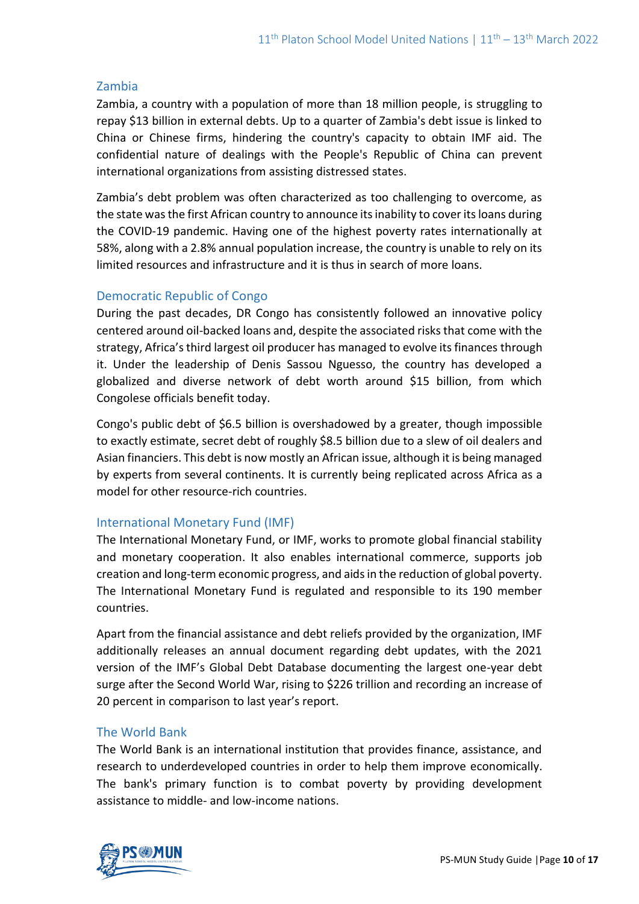## Zambia

Zambia, a country with a population of more than 18 million people, is struggling to repay \$13 billion in external debts. Up to a quarter of Zambia's debt issue is linked to China or Chinese firms, hindering the country's capacity to obtain IMF aid. The confidential nature of dealings with the People's Republic of China can prevent international organizations from assisting distressed states.

Zambia's debt problem was often characterized as too challenging to overcome, as the state was the first African country to announce its inability to cover its loans during the COVID-19 pandemic. Having one of the highest poverty rates internationally at 58%, along with a 2.8% annual population increase, the country is unable to rely on its limited resources and infrastructure and it is thus in search of more loans.

# Democratic Republic of Congo

During the past decades, DR Congo has consistently followed an innovative policy centered around oil-backed loans and, despite the associated risks that come with the strategy, Africa's third largest oil producer has managed to evolve its finances through it. Under the leadership of Denis Sassou Nguesso, the country has developed a globalized and diverse network of debt worth around \$15 billion, from which Congolese officials benefit today.

Congo's public debt of \$6.5 billion is overshadowed by a greater, though impossible to exactly estimate, secret debt of roughly \$8.5 billion due to a slew of oil dealers and Asian financiers. This debt is now mostly an African issue, although it is being managed by experts from several continents. It is currently being replicated across Africa as a model for other resource-rich countries.

# International Monetary Fund (IMF)

The International Monetary Fund, or IMF, works to promote global financial stability and monetary cooperation. It also enables international commerce, supports job creation and long-term economic progress, and aids in the reduction of global poverty. The International Monetary Fund is regulated and responsible to its 190 member countries.

Apart from the financial assistance and debt reliefs provided by the organization, IMF additionally releases an annual document regarding debt updates, with the 2021 version of the IMF's Global Debt Database documenting the largest one-year debt surge after the Second World War, rising to \$226 trillion and recording an increase of 20 percent in comparison to last year's report.

# The World Bank

The World Bank is an international institution that provides finance, assistance, and research to underdeveloped countries in order to help them improve economically. The bank's primary function is to combat poverty by providing development assistance to middle- and low-income nations.

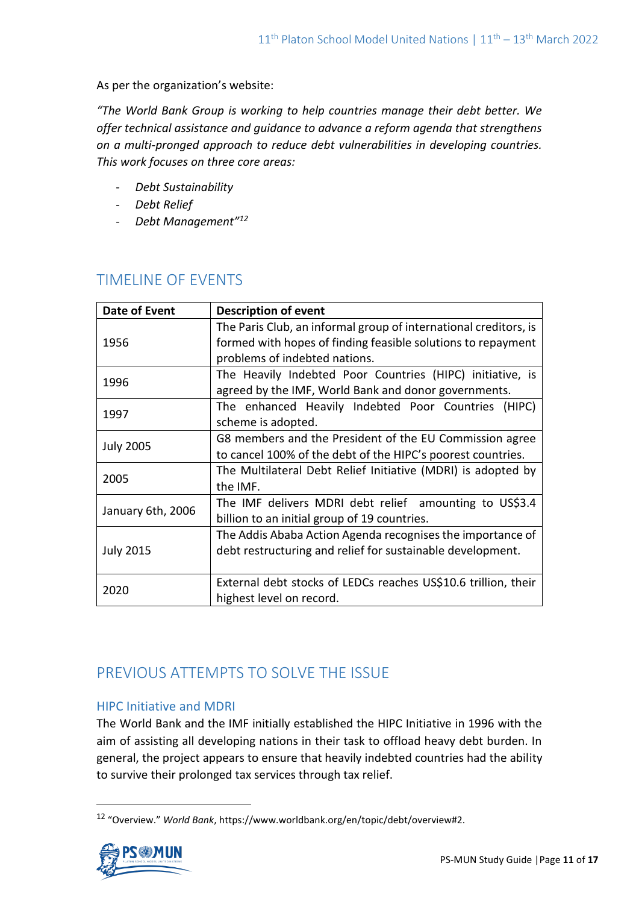As per the organization's website:

*"The World Bank Group is working to help countries manage their debt better. We offer technical assistance and guidance to advance a reform agenda that strengthens on a multi-pronged approach to reduce debt vulnerabilities in developing countries. This work focuses on three core areas:*

- *Debt Sustainability*
- *Debt Relief*
- *Debt Management"<sup>12</sup>*

# TIMELINE OF EVENTS

| Date of Event     | <b>Description of event</b>                                      |
|-------------------|------------------------------------------------------------------|
| 1956              | The Paris Club, an informal group of international creditors, is |
|                   | formed with hopes of finding feasible solutions to repayment     |
|                   | problems of indebted nations.                                    |
| 1996              | The Heavily Indebted Poor Countries (HIPC) initiative, is        |
|                   | agreed by the IMF, World Bank and donor governments.             |
| 1997              | The enhanced Heavily Indebted Poor Countries (HIPC)              |
|                   | scheme is adopted.                                               |
| <b>July 2005</b>  | G8 members and the President of the EU Commission agree          |
|                   | to cancel 100% of the debt of the HIPC's poorest countries.      |
| 2005              | The Multilateral Debt Relief Initiative (MDRI) is adopted by     |
|                   | the IMF.                                                         |
| January 6th, 2006 | The IMF delivers MDRI debt relief amounting to US\$3.4           |
|                   | billion to an initial group of 19 countries.                     |
| <b>July 2015</b>  | The Addis Ababa Action Agenda recognises the importance of       |
|                   | debt restructuring and relief for sustainable development.       |
|                   |                                                                  |
| 2020              | External debt stocks of LEDCs reaches US\$10.6 trillion, their   |
|                   | highest level on record.                                         |

# PREVIOUS ATTEMPTS TO SOLVE THE ISSUE

# HIPC Initiative and MDRI

The World Bank and the IMF initially established the HIPC Initiative in 1996 with the aim of assisting all developing nations in their task to offload heavy debt burden. In general, the project appears to ensure that heavily indebted countries had the ability to survive their prolonged tax services through tax relief.

<sup>12</sup> "Overview." *World Bank*, https://www.worldbank.org/en/topic/debt/overview#2.

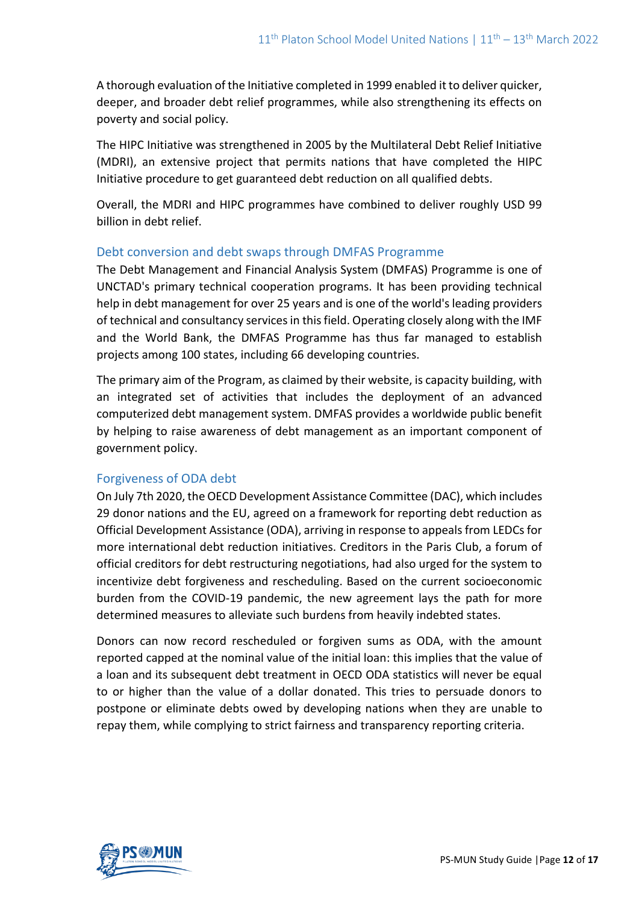A thorough evaluation of the Initiative completed in 1999 enabled it to deliver quicker, deeper, and broader debt relief programmes, while also strengthening its effects on poverty and social policy.

The HIPC Initiative was strengthened in 2005 by the Multilateral Debt Relief Initiative (MDRI), an extensive project that permits nations that have completed the HIPC Initiative procedure to get guaranteed debt reduction on all qualified debts.

Overall, the MDRI and HIPC programmes have combined to deliver roughly USD 99 billion in debt relief.

# Debt conversion and debt swaps through DMFAS Programme

The Debt Management and Financial Analysis System (DMFAS) Programme is one of UNCTAD's primary technical cooperation programs. It has been providing technical help in debt management for over 25 years and is one of the world's leading providers of technical and consultancy services in this field. Operating closely along with the IMF and the World Bank, the DMFAS Programme has thus far managed to establish projects among 100 states, including 66 developing countries.

The primary aim of the Program, as claimed by their website, is capacity building, with an integrated set of activities that includes the deployment of an advanced computerized debt management system. DMFAS provides a worldwide public benefit by helping to raise awareness of debt management as an important component of government policy.

# Forgiveness of ODA debt

On July 7th 2020, the OECD Development Assistance Committee (DAC), which includes 29 donor nations and the EU, agreed on a framework for reporting debt reduction as Official Development Assistance (ODA), arriving in response to appeals from LEDCs for more international debt reduction initiatives. Creditors in the Paris Club, a forum of official creditors for debt restructuring negotiations, had also urged for the system to incentivize debt forgiveness and rescheduling. Based on the current socioeconomic burden from the COVID-19 pandemic, the new agreement lays the path for more determined measures to alleviate such burdens from heavily indebted states.

Donors can now record rescheduled or forgiven sums as ODA, with the amount reported capped at the nominal value of the initial loan: this implies that the value of a loan and its subsequent debt treatment in OECD ODA statistics will never be equal to or higher than the value of a dollar donated. This tries to persuade donors to postpone or eliminate debts owed by developing nations when they are unable to repay them, while complying to strict fairness and transparency reporting criteria.

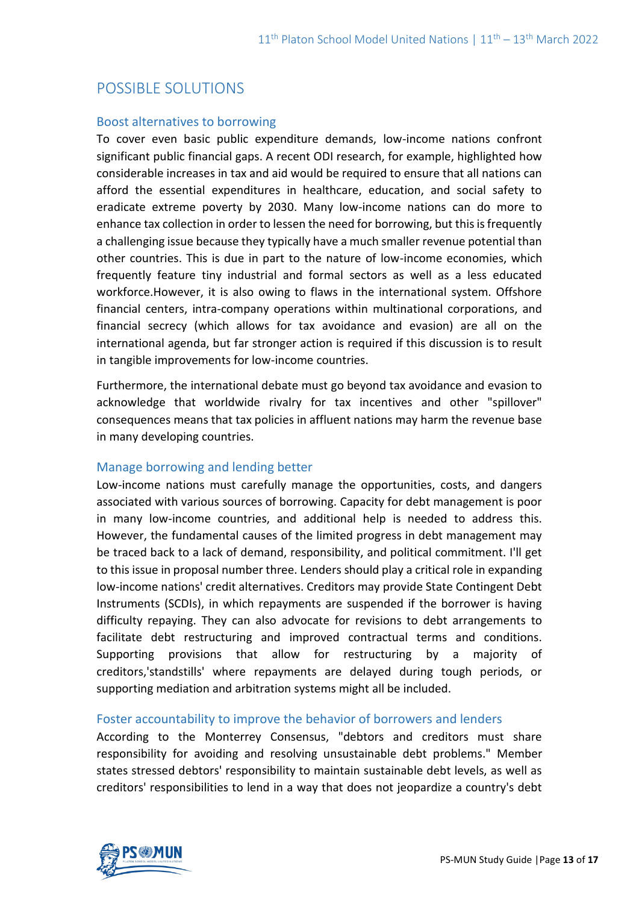# POSSIBLE SOLUTIONS

### Boost alternatives to borrowing

To cover even basic public expenditure demands, low-income nations confront significant public financial gaps. A recent ODI research, for example, highlighted how considerable increases in tax and aid would be required to ensure that all nations can afford the essential expenditures in healthcare, education, and social safety to eradicate extreme poverty by 2030. Many low-income nations can do more to enhance tax collection in order to lessen the need for borrowing, but this is frequently a challenging issue because they typically have a much smaller revenue potential than other countries. This is due in part to the nature of low-income economies, which frequently feature tiny industrial and formal sectors as well as a less educated workforce.However, it is also owing to flaws in the international system. Offshore financial centers, intra-company operations within multinational corporations, and financial secrecy (which allows for tax avoidance and evasion) are all on the international agenda, but far stronger action is required if this discussion is to result in tangible improvements for low-income countries.

Furthermore, the international debate must go beyond tax avoidance and evasion to acknowledge that worldwide rivalry for tax incentives and other "spillover" consequences means that tax policies in affluent nations may harm the revenue base in many developing countries.

### Manage borrowing and lending better

Low-income nations must carefully manage the opportunities, costs, and dangers associated with various sources of borrowing. Capacity for debt management is poor in many low-income countries, and additional help is needed to address this. However, the fundamental causes of the limited progress in debt management may be traced back to a lack of demand, responsibility, and political commitment. I'll get to this issue in proposal number three. Lenders should play a critical role in expanding low-income nations' credit alternatives. Creditors may provide State Contingent Debt Instruments (SCDIs), in which repayments are suspended if the borrower is having difficulty repaying. They can also advocate for revisions to debt arrangements to facilitate debt restructuring and improved contractual terms and conditions. Supporting provisions that allow for restructuring by a majority of creditors,'standstills' where repayments are delayed during tough periods, or supporting mediation and arbitration systems might all be included.

### Foster accountability to improve the behavior of borrowers and lenders

According to the Monterrey Consensus, "debtors and creditors must share responsibility for avoiding and resolving unsustainable debt problems." Member states stressed debtors' responsibility to maintain sustainable debt levels, as well as creditors' responsibilities to lend in a way that does not jeopardize a country's debt

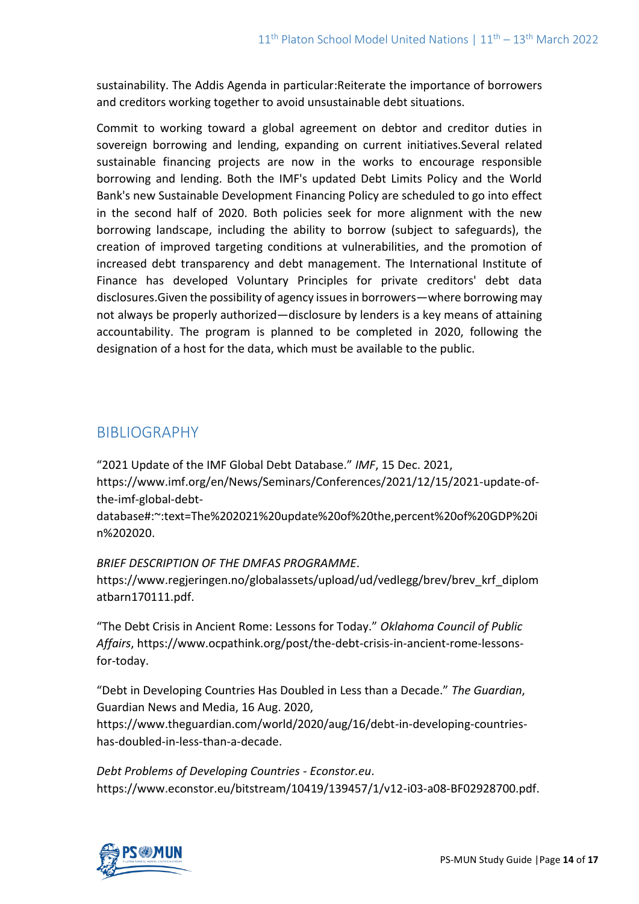sustainability. The Addis Agenda in particular:Reiterate the importance of borrowers and creditors working together to avoid unsustainable debt situations.

Commit to working toward a global agreement on debtor and creditor duties in sovereign borrowing and lending, expanding on current initiatives.Several related sustainable financing projects are now in the works to encourage responsible borrowing and lending. Both the IMF's updated Debt Limits Policy and the World Bank's new Sustainable Development Financing Policy are scheduled to go into effect in the second half of 2020. Both policies seek for more alignment with the new borrowing landscape, including the ability to borrow (subject to safeguards), the creation of improved targeting conditions at vulnerabilities, and the promotion of increased debt transparency and debt management. The International Institute of Finance has developed Voluntary Principles for private creditors' debt data disclosures.Given the possibility of agency issues in borrowers—where borrowing may not always be properly authorized—disclosure by lenders is a key means of attaining accountability. The program is planned to be completed in 2020, following the designation of a host for the data, which must be available to the public.

# BIBLIOGRAPHY

"2021 Update of the IMF Global Debt Database." *IMF*, 15 Dec. 2021, https://www.imf.org/en/News/Seminars/Conferences/2021/12/15/2021-update-ofthe-imf-global-debt-

database#:~:text=The%202021%20update%20of%20the,percent%20of%20GDP%20i n%202020.

*BRIEF DESCRIPTION OF THE DMFAS PROGRAMME*.

https://www.regjeringen.no/globalassets/upload/ud/vedlegg/brev/brev\_krf\_diplom atbarn170111.pdf.

"The Debt Crisis in Ancient Rome: Lessons for Today." *Oklahoma Council of Public Affairs*, https://www.ocpathink.org/post/the-debt-crisis-in-ancient-rome-lessonsfor-today.

"Debt in Developing Countries Has Doubled in Less than a Decade." *The Guardian*, Guardian News and Media, 16 Aug. 2020, https://www.theguardian.com/world/2020/aug/16/debt-in-developing-countrieshas-doubled-in-less-than-a-decade.

*Debt Problems of Developing Countries - Econstor.eu*. https://www.econstor.eu/bitstream/10419/139457/1/v12-i03-a08-BF02928700.pdf.

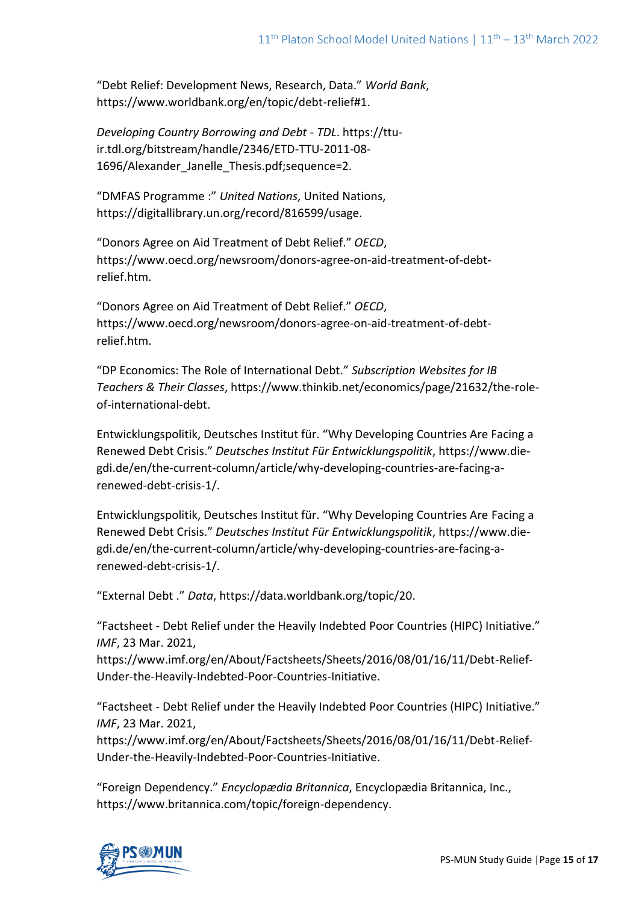"Debt Relief: Development News, Research, Data." *World Bank*, https://www.worldbank.org/en/topic/debt-relief#1.

*Developing Country Borrowing and Debt - TDL*. https://ttuir.tdl.org/bitstream/handle/2346/ETD-TTU-2011-08- 1696/Alexander Janelle Thesis.pdf;sequence=2.

"DMFAS Programme :" *United Nations*, United Nations, https://digitallibrary.un.org/record/816599/usage.

"Donors Agree on Aid Treatment of Debt Relief." *OECD*, https://www.oecd.org/newsroom/donors-agree-on-aid-treatment-of-debtrelief.htm.

"Donors Agree on Aid Treatment of Debt Relief." *OECD*, https://www.oecd.org/newsroom/donors-agree-on-aid-treatment-of-debtrelief.htm.

"DP Economics: The Role of International Debt." *Subscription Websites for IB Teachers & Their Classes*, https://www.thinkib.net/economics/page/21632/the-roleof-international-debt.

Entwicklungspolitik, Deutsches Institut für. "Why Developing Countries Are Facing a Renewed Debt Crisis." *Deutsches Institut Für Entwicklungspolitik*, https://www.diegdi.de/en/the-current-column/article/why-developing-countries-are-facing-arenewed-debt-crisis-1/.

Entwicklungspolitik, Deutsches Institut für. "Why Developing Countries Are Facing a Renewed Debt Crisis." *Deutsches Institut Für Entwicklungspolitik*, https://www.diegdi.de/en/the-current-column/article/why-developing-countries-are-facing-arenewed-debt-crisis-1/.

"External Debt ." *Data*, https://data.worldbank.org/topic/20.

"Factsheet - Debt Relief under the Heavily Indebted Poor Countries (HIPC) Initiative." *IMF*, 23 Mar. 2021,

https://www.imf.org/en/About/Factsheets/Sheets/2016/08/01/16/11/Debt-Relief-Under-the-Heavily-Indebted-Poor-Countries-Initiative.

"Factsheet - Debt Relief under the Heavily Indebted Poor Countries (HIPC) Initiative." *IMF*, 23 Mar. 2021,

https://www.imf.org/en/About/Factsheets/Sheets/2016/08/01/16/11/Debt-Relief-Under-the-Heavily-Indebted-Poor-Countries-Initiative.

"Foreign Dependency." *Encyclopædia Britannica*, Encyclopædia Britannica, Inc., https://www.britannica.com/topic/foreign-dependency.

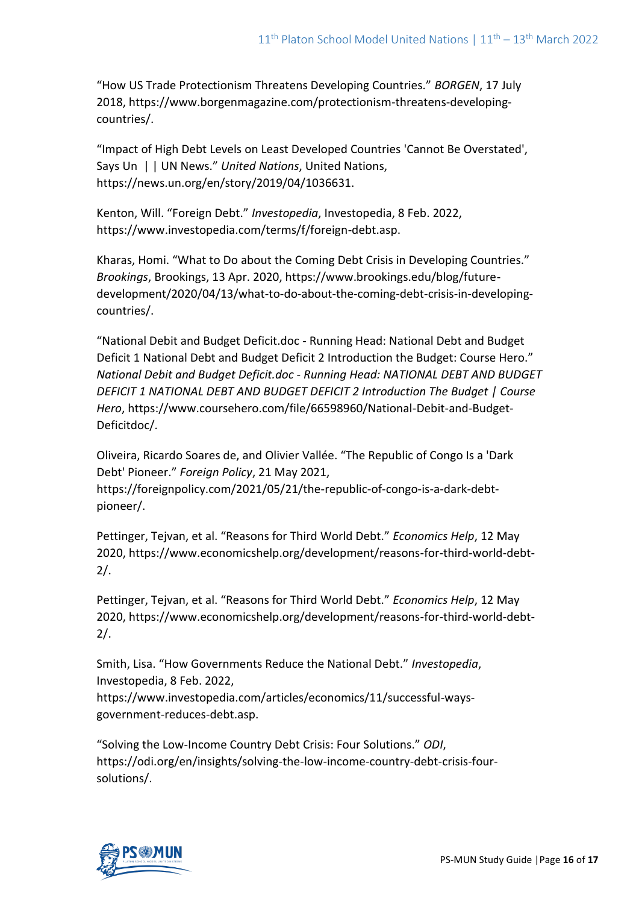"How US Trade Protectionism Threatens Developing Countries." *BORGEN*, 17 July 2018, https://www.borgenmagazine.com/protectionism-threatens-developingcountries/.

"Impact of High Debt Levels on Least Developed Countries 'Cannot Be Overstated', Says Un | | UN News." *United Nations*, United Nations, https://news.un.org/en/story/2019/04/1036631.

Kenton, Will. "Foreign Debt." *Investopedia*, Investopedia, 8 Feb. 2022, https://www.investopedia.com/terms/f/foreign-debt.asp.

Kharas, Homi. "What to Do about the Coming Debt Crisis in Developing Countries." *Brookings*, Brookings, 13 Apr. 2020, https://www.brookings.edu/blog/futuredevelopment/2020/04/13/what-to-do-about-the-coming-debt-crisis-in-developingcountries/.

"National Debit and Budget Deficit.doc - Running Head: National Debt and Budget Deficit 1 National Debt and Budget Deficit 2 Introduction the Budget: Course Hero." *National Debit and Budget Deficit.doc - Running Head: NATIONAL DEBT AND BUDGET DEFICIT 1 NATIONAL DEBT AND BUDGET DEFICIT 2 Introduction The Budget | Course Hero*, https://www.coursehero.com/file/66598960/National-Debit-and-Budget-Deficitdoc/.

Oliveira, Ricardo Soares de, and Olivier Vallée. "The Republic of Congo Is a 'Dark Debt' Pioneer." *Foreign Policy*, 21 May 2021, https://foreignpolicy.com/2021/05/21/the-republic-of-congo-is-a-dark-debtpioneer/.

Pettinger, Tejvan, et al. "Reasons for Third World Debt." *Economics Help*, 12 May 2020, https://www.economicshelp.org/development/reasons-for-third-world-debt-2/.

Pettinger, Tejvan, et al. "Reasons for Third World Debt." *Economics Help*, 12 May 2020, https://www.economicshelp.org/development/reasons-for-third-world-debt-2/.

Smith, Lisa. "How Governments Reduce the National Debt." *Investopedia*, Investopedia, 8 Feb. 2022, https://www.investopedia.com/articles/economics/11/successful-waysgovernment-reduces-debt.asp.

"Solving the Low-Income Country Debt Crisis: Four Solutions." *ODI*, https://odi.org/en/insights/solving-the-low-income-country-debt-crisis-foursolutions/.